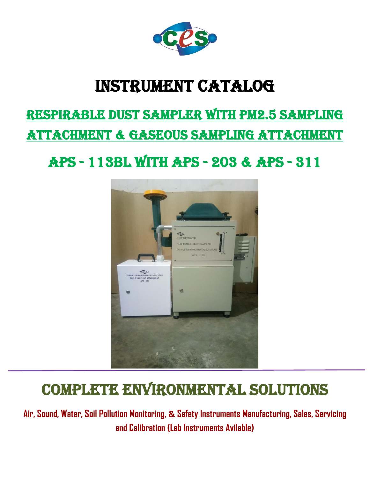

## Instrument catalog

# RESPIRABLE DUST SAMPLER With PM2.5 SAMPLING

ATTACHMENT & GASEOUS SAMPLING ATTACHMENT

Aps - 113BL WITH APS - 203 & APS - 311



## COMPLETE ENVIRONMENTAL SOLUTIONS

**Air, Sound, Water, Soil Pollution Monitoring, & Safety Instruments Manufacturing, Sales, Servicing and Calibration (Lab Instruments Avilable)**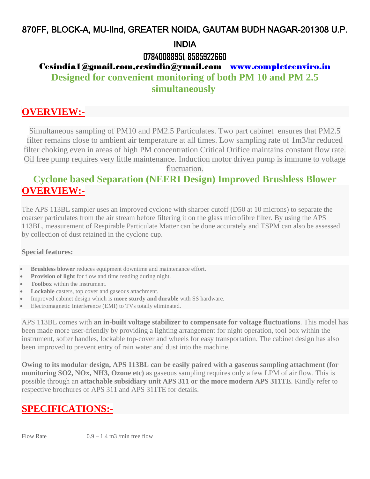#### 870FF, BLOCK-A, MU-IInd, GREATER NOIDA, GAUTAM BUDH NAGAR-201308 U.P.

#### INDIA

#### **07840088951, 8585922660**

#### Cesindia1@gmail.com,cesindia@ymail.com [www.completeenviro.in](http://www.completeenviro.in/) **Designed for convenient monitoring of both PM 10 and PM 2.5 simultaneously**

#### **OVERVIEW:-**

Simultaneous sampling of PM10 and PM2.5 Particulates. Two part cabinet ensures that PM2.5 filter remains close to ambient air temperature at all times. Low sampling rate of 1m3/hr reduced filter choking even in areas of high PM concentration Critical Orifice maintains constant flow rate. Oil free pump requires very little maintenance. Induction motor driven pump is immune to voltage

fluctuation.

#### **Cyclone based Separation (NEERI Design) Improved Brushless Blower OVERVIEW:-**

The APS 113BL sampler uses an improved cyclone with sharper cutoff (D50 at 10 microns) to separate the coarser particulates from the air stream before filtering it on the glass microfibre filter. By using the APS 113BL, measurement of Respirable Particulate Matter can be done accurately and TSPM can also be assessed by collection of dust retained in the cyclone cup.

#### **Special features:**

- **Brushless blower** reduces equipment downtime and maintenance effort.
- **Provision of light** for flow and time reading during night.
- **Toolbox** within the instrument.
- **Lockable** casters, top cover and gaseous attachment.
- Improved cabinet design which is **more sturdy and durable** with SS hardware.
- Electromagnetic Interference (EMI) to TVs totally eliminated.

APS 113BL comes with **an in-built voltage stabilizer to compensate for voltage fluctuations**. This model has been made more user-friendly by providing a lighting arrangement for night operation, tool box within the instrument, softer handles, lockable top-cover and wheels for easy transportation. The cabinet design has also been improved to prevent entry of rain water and dust into the machine.

**Owing to its modular design, APS 113BL can be easily paired with a gaseous sampling attachment (for monitoring SO2, NOx, NH3, Ozone etc)** as gaseous sampling requires only a few LPM of air flow. This is possible through an **attachable subsidiary unit APS 311 or the more modern APS 311TE**. Kindly refer to respective brochures of APS 311 and APS 311TE for details.

### **SPECIFICATIONS:-**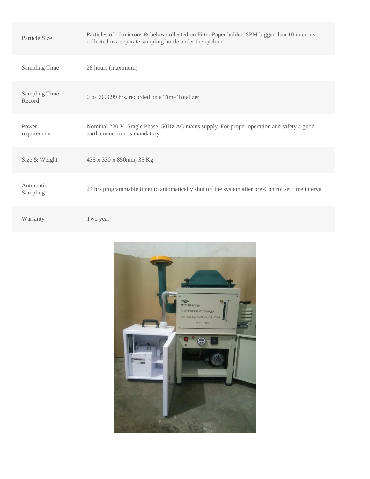| Particle Size                  | Particles of 10 microns & below collected on Filter Paper holder. SPM bigger than 10 microns<br>collected in a separate sampling bottle under the cyclone |
|--------------------------------|-----------------------------------------------------------------------------------------------------------------------------------------------------------|
| <b>Sampling Time</b>           | 28 hours (maximum)                                                                                                                                        |
| <b>Sampling Time</b><br>Record | 0 to 9999.99 hrs. recorded on a Time Totalizer                                                                                                            |
| Power<br>requirement           | Nominal 220 V, Single Phase, 50Hz AC mains supply. For proper operation and safety a good<br>earth connection is mandatory                                |
| Size & Weight                  | 435 x 330 x 850mm, 35 Kg                                                                                                                                  |
| Automatic<br>Sampling          | 24 hrs programmable timer to automatically shut off the system after pre-Control set time interval                                                        |
| Warranty                       | Two year                                                                                                                                                  |